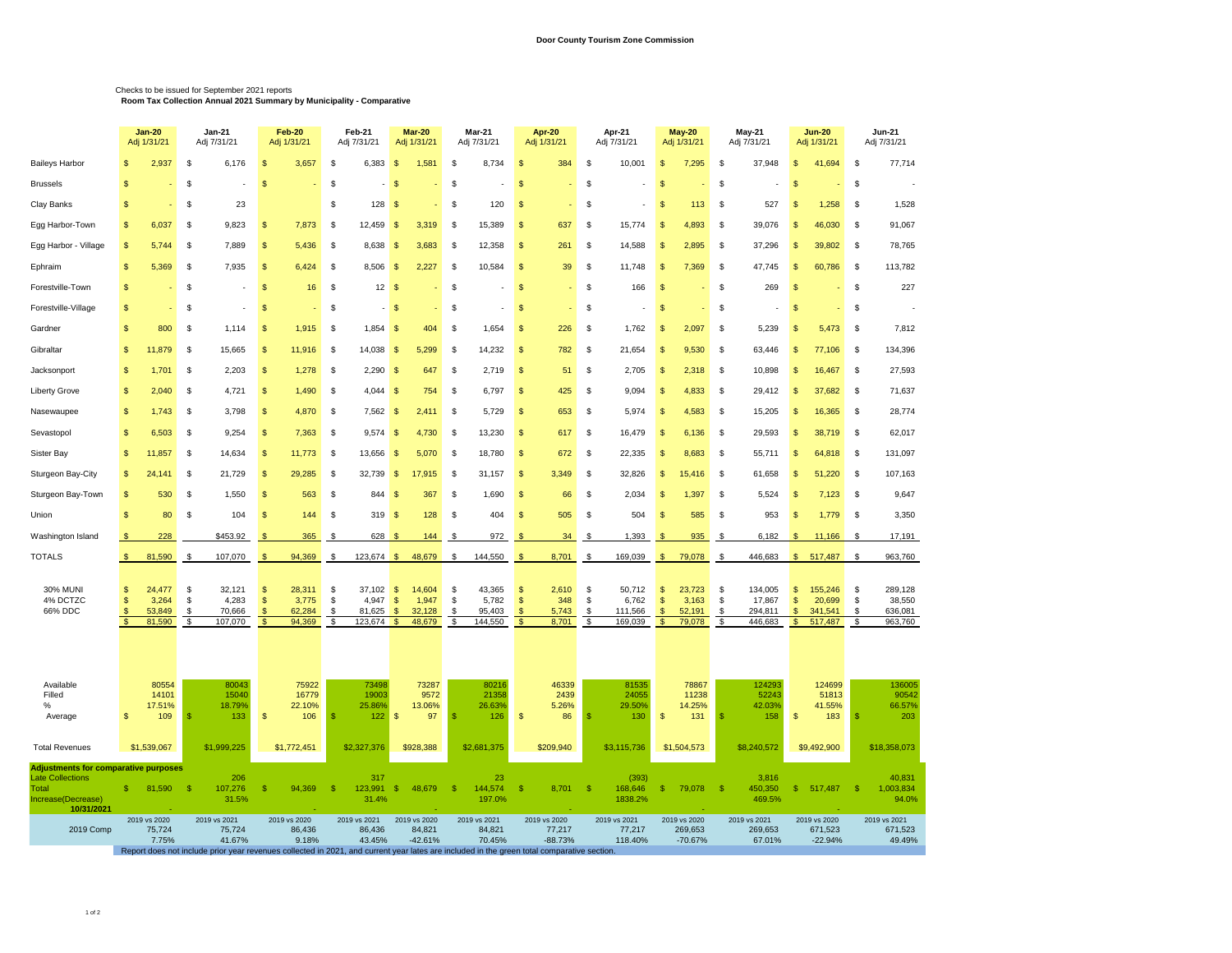## Checks to be issued for September 2021 reports **Room Tax Collection Annual 2021 Summary by Municipality - Comparative**

|                                                                                                                     |                                                 | <b>Jan-20</b><br>Jan-21<br>Adj 1/31/21<br>Adj 7/31/21 |                                  |                                      | Feb-20<br>Adj 1/31/21        |                                     | Feb-21<br>Adj 7/31/21            |                                      | Mar-20<br>Adj 1/31/21                                                               |                      | <b>Mar-21</b><br>Adj 7/31/21                                                                                                                                                   | Apr 20<br>Adj 1/31/21                  |                                     | Apr-21<br>Adj 7/31/21 |                                       | May 20<br>Adj 1/31/21                                |                                      | <b>May-21</b><br>Adj 7/31/21 |                                         | <b>Jun-20</b><br>Adj 1/31/21                 |                                         | Jun-21<br>Adj 7/31/21 |                                         |
|---------------------------------------------------------------------------------------------------------------------|-------------------------------------------------|-------------------------------------------------------|----------------------------------|--------------------------------------|------------------------------|-------------------------------------|----------------------------------|--------------------------------------|-------------------------------------------------------------------------------------|----------------------|--------------------------------------------------------------------------------------------------------------------------------------------------------------------------------|----------------------------------------|-------------------------------------|-----------------------|---------------------------------------|------------------------------------------------------|--------------------------------------|------------------------------|-----------------------------------------|----------------------------------------------|-----------------------------------------|-----------------------|-----------------------------------------|
| Baileys Harbor                                                                                                      |                                                 | 2,937                                                 | \$                               | 6,176                                | \$                           | 3,657                               | \$                               | 6,383                                | -\$<br>1,581                                                                        | S                    | 8,734                                                                                                                                                                          | S                                      | 384                                 | \$                    | 10,001                                | \$                                                   | 7,295                                | \$                           | 37,948                                  | \$                                           | 41,694                                  | \$                    | 77,714                                  |
| <b>Brussels</b>                                                                                                     | \$                                              |                                                       | \$                               |                                      | \$                           |                                     | \$                               |                                      | $\mathbf{\hat{s}}$                                                                  | \$                   |                                                                                                                                                                                | \$                                     |                                     | \$                    |                                       | $\mathsf{\$}$                                        |                                      | \$                           |                                         | \$                                           |                                         | $\mathbf{\$}$         |                                         |
| Clay Banks                                                                                                          | \$                                              |                                                       | \$                               | 23                                   |                              |                                     | \$                               | 128                                  | $\sqrt{3}$                                                                          | -S                   | 120                                                                                                                                                                            | \$.                                    |                                     | \$                    |                                       | <b>S</b>                                             | 113                                  | \$                           | 527                                     | $\mathfrak{S}$                               | 1,258                                   | \$                    | 1,528                                   |
| Egg Harbor-Town                                                                                                     | $\mathbf{s}$                                    | 6,037                                                 | \$                               | 9,823                                | \$                           | 7,873                               | $\mathfrak{s}$                   | 12,459                               | $\mathbf{\hat{s}}$<br>3,319                                                         | \$                   | 15,389                                                                                                                                                                         | \$                                     | 637                                 | \$                    | 15,774                                | \$                                                   | 4,893                                | \$                           | 39,076                                  | \$                                           | 46,030                                  | $\mathbf{\$}$         | 91,067                                  |
| Egg Harbor - Village                                                                                                |                                                 | 5,744                                                 | \$                               | 7,889                                | \$.                          | 5,436                               | \$                               | 8,638                                | $\sqrt{3}$<br>3,683                                                                 | -S                   | 12,358                                                                                                                                                                         | \$                                     | 261                                 | \$                    | 14,588                                | \$                                                   | 2,895                                | \$                           | 37,296                                  | \$                                           | 39,802                                  | - \$                  | 78,765                                  |
| Ephraim                                                                                                             | $\mathbf{s}$                                    | 5,369                                                 | $\mathfrak{s}$                   | 7,935                                | \$                           | 6,424                               | \$                               | 8,506 \$                             | 2,227                                                                               | -S                   | 10,584                                                                                                                                                                         | \$                                     | 39                                  | \$                    | 11,748                                | \$                                                   | 7,369                                | $\mathfrak{s}$               | 47,745                                  | $\mathfrak{S}$                               | 60,786                                  | \$                    | 113,782                                 |
| Forestville-Town                                                                                                    | \$                                              |                                                       | \$                               |                                      | \$                           | 16                                  | \$                               | 12S                                  |                                                                                     | S                    |                                                                                                                                                                                | \$                                     |                                     | \$                    | 166                                   | <b>S</b>                                             |                                      | \$                           | 269                                     | $\mathbf{s}$                                 |                                         | \$                    | 227                                     |
| Forestville-Village                                                                                                 | $\mathbb{S}$                                    |                                                       | \$                               |                                      | \$                           |                                     | \$                               | $-5$                                 |                                                                                     | S                    |                                                                                                                                                                                | \$                                     |                                     | \$                    |                                       | <sup>\$</sup>                                        |                                      | \$                           |                                         | \$                                           |                                         | \$                    |                                         |
| Gardner                                                                                                             |                                                 | 800                                                   | \$                               | 1,114                                | \$                           | 1,915                               | \$                               | $1,854$ \$                           | 404                                                                                 | -S                   | 1,654                                                                                                                                                                          | \$                                     | 226                                 | \$                    | 1,762                                 | \$                                                   | 2,097                                | \$                           | 5,239                                   | \$                                           | 5,473                                   | \$                    | 7,812                                   |
| Gibraltar                                                                                                           | $\mathbb{S}$                                    | 11,879                                                | \$                               | 15,665                               | $\mathfrak{s}$               | 11,916                              | \$                               | $14,038$ \$                          | 5,299                                                                               | \$                   | 14,232                                                                                                                                                                         | $\mathsf{\$}$                          | 782                                 | \$                    | 21,654                                | <sup>\$</sup>                                        | 9,530                                | \$                           | 63,446                                  | $\mathfrak{s}$                               | 77,106                                  | \$                    | 134,396                                 |
| Jacksonport                                                                                                         |                                                 | 1,701                                                 | \$                               | 2,203                                | \$                           | 1,278                               | \$                               | 2,290                                | $\sqrt{3}$<br>647                                                                   | \$                   | 2,719                                                                                                                                                                          | \$                                     | 51                                  | \$                    | 2,705                                 | \$                                                   | 2,318                                | \$                           | 10,898                                  | $\mathfrak{s}$                               | 16,467                                  | $\mathbf{\$}$         | 27,593                                  |
| Liberty Grove                                                                                                       | $\mathbf{s}$                                    | 2,040                                                 | \$                               | 4,721                                | $\mathfrak{s}$               | 1,490                               | $\mathfrak{s}$                   | $4,044$ \$                           | 754                                                                                 | \$                   | 6,797                                                                                                                                                                          | $\mathsf{\$}$                          | 425                                 | \$                    | 9,094                                 | $\mathsf{\$}$                                        | 4,833                                | \$                           | 29,412                                  | $\mathsf{\$}$                                | 37,682                                  | \$                    | 71,637                                  |
| Nasewaupee                                                                                                          |                                                 | 1,743                                                 | \$                               | 3,798                                | \$                           | 4,870                               | \$                               | $7,562$ \$                           | 2,411                                                                               | -S                   | 5,729                                                                                                                                                                          | \$                                     | 653                                 | \$                    | 5,974                                 | \$                                                   | 4,583                                | \$                           | 15,205                                  | \$                                           | 16,365                                  | \$                    | 28,774                                  |
| Sevastopol                                                                                                          | $\mathbf{s}$                                    | 6,503                                                 | $\mathfrak{s}$                   | 9,254                                | $\mathfrak{s}$               | 7,363                               | \$                               | $9,574$ \$                           | 4,730                                                                               | \$                   | 13,230                                                                                                                                                                         | \$                                     | 617                                 | \$                    | 16,479                                | $\sqrt{2}$                                           | 6,136                                | \$                           | 29,593                                  | $\mathfrak{s}$                               | 38,719                                  | \$                    | 62,017                                  |
| Sister Bay                                                                                                          |                                                 | 11,857                                                | \$                               | 14,634                               | \$                           | 11,773                              | \$                               | 13,656                               | $\sqrt{3}$<br>5,070                                                                 | \$                   | 18,780                                                                                                                                                                         | \$                                     | 672                                 | \$                    | 22,335                                | <b>S</b>                                             | 8,683                                | \$                           | 55,711                                  | \$                                           | 64,818                                  | \$                    | 131,097                                 |
| Sturgeon Bay-City                                                                                                   | $\mathbb{S}$                                    | 24,141                                                | \$                               | 21,729                               | $\mathfrak{s}$               | 29,285                              | \$                               | 32,739                               | $\sqrt{3}$<br>17,915                                                                | \$                   | 31,157                                                                                                                                                                         | $\sqrt{3}$                             | 3,349                               | \$                    | 32,826                                | $\sqrt{2}$                                           | 15,416                               | \$                           | 61,658                                  | $\sqrt{3}$                                   | 51,220                                  | \$                    | 107,163                                 |
| Sturgeon Bay-Town                                                                                                   | -S                                              | 530                                                   | \$                               | 1,550                                | \$                           | 563                                 | \$                               | 844                                  | $\sqrt{3}$<br>367                                                                   | \$                   | 1,690                                                                                                                                                                          | \$                                     | 66                                  | \$                    | 2,034                                 | \$                                                   | 1,397                                | \$                           | 5,524                                   | \$                                           | 7,123                                   | \$                    | 9,647                                   |
| Union                                                                                                               | $\mathsf{\$}$                                   | 80                                                    | \$                               | 104                                  | \$                           | 144                                 | \$                               | $319$ \$                             | 128                                                                                 | \$                   | 404                                                                                                                                                                            | $\sqrt{3}$                             | 505                                 | \$                    | 504                                   | $\mathsf{\$}$                                        | 585                                  | \$                           | 953                                     | $\mathsf{\$}$                                | 1,779                                   | \$                    | 3,350                                   |
| Washington Island                                                                                                   | \$                                              | 228                                                   |                                  | \$453.92                             |                              | 365                                 | -\$                              | 628                                  | 144<br>Я                                                                            | - \$                 | 972                                                                                                                                                                            | -S                                     | 34                                  | - \$                  | 1,393                                 | \$                                                   | 935                                  | - \$                         | 6,182                                   | S                                            | 11,166                                  | S.                    | 17,191                                  |
| TOTALS                                                                                                              | <b>S</b>                                        | 81,590                                                | \$                               | 107,070                              | $\mathbf{\hat{f}}$           | 94,369                              | \$                               | $123,674$ \$                         | 48,679                                                                              | \$                   | 144,550                                                                                                                                                                        | $\mathfrak{F}$                         | 8,701                               | \$                    | 169,039                               | $\sqrt{2}$                                           | 79,078                               | \$                           | 446,683                                 | $\mathbb{S}$                                 | 517,487                                 | \$                    | 963,760                                 |
| <b>30% MUNI</b><br>4% DCTZC<br>66% DDC                                                                              | -S<br>$\mathbb{S}$<br>-\$<br>$\mathbf{\hat{s}}$ | 24,477<br>3,264<br>53,849<br>81,590                   | $\mathfrak{s}$<br>\$<br>\$<br>\$ | 32,121<br>4,283<br>70,666<br>107,070 | \$<br>$\sqrt{2}$<br>\$<br>\$ | 28,311<br>3,775<br>62,284<br>94,369 | $\mathfrak{s}$<br>\$<br>\$<br>\$ | 37,102<br>4,947<br>81,625<br>123,674 | 14,604<br>$\mathfrak{s}$<br>1,947<br>-S<br>32,128<br>S.<br>48,679<br>$\mathfrak{s}$ | \$<br>\$<br>\$<br>\$ | 43,365<br>5,782<br>95,403<br>144,550                                                                                                                                           | \$<br>$\frac{1}{2}$<br><b>S</b><br>\$. | 2,610<br>348<br>5,743<br>8,701      | \$<br>\$<br>\$<br>\$  | 50,712<br>6,762<br>111,566<br>169,039 | <b>S</b><br>$\sqrt{2}$<br><b>S</b><br>$\mathfrak{s}$ | 23,723<br>3,163<br>52,191<br>79,078  | \$<br>\$<br>\$<br>\$         | 134,005<br>17,867<br>294,811<br>446,683 | $\mathfrak{s}$<br>\$<br>\$<br>$\mathfrak{s}$ | 155,246<br>20,699<br>341,541<br>517,487 | \$<br>\$<br>\$<br>\$  | 289,128<br>38,550<br>636,081<br>963,760 |
| Available<br>Filled<br>%<br>Average                                                                                 | $\mathbb{S}$                                    | 80554<br>14101<br>17.51%<br>109                       | -S                               | 80043<br>15040<br>18.79%<br>133      | \$                           | 75922<br>16779<br>22.10%<br>106     | -S                               | 73498<br>19003<br>25.86%<br>122      | 73287<br>9572<br>13.06%<br>$\mathbf{\$}$<br>97                                      | <b>S</b>             | 80216<br>21358<br>26.63%<br>126                                                                                                                                                | \$                                     | 46339<br>2439<br>5.26%<br>86        | $\mathfrak{s}$        | 81535<br>24055<br>29.50%<br>130       | $\mathfrak{s}$                                       | 78867<br>11238<br>14.25%<br>131      | S                            | 124293<br>52243<br>42.03%<br>158        | $\mathfrak{s}$                               | 124699<br>51813<br>41.55%<br>183        | -S                    | 136005<br>90542<br>66.57%<br>203        |
| <b>Total Revenues</b>                                                                                               |                                                 | \$1,539,067                                           |                                  | \$1,999,225                          |                              | \$1,772,451                         |                                  | \$2,327,376                          | \$928,388                                                                           |                      | \$2,681,375                                                                                                                                                                    |                                        | \$209,940                           |                       | \$3,115,736                           |                                                      | \$1,504,573                          |                              | \$8,240,572                             |                                              | \$9,492,900                             |                       | \$18,358,073                            |
| <b>Adjustments for comparative purposes</b><br><b>Late Collections</b><br>Total<br>Increase(Decrease)<br>10/31/2021 | \$.                                             | 81,590                                                | -\$                              | 206<br>107,276<br>31.5%              | \$                           | 94,369                              | $\mathbb{S}$                     | 317<br>123,991<br>31.4%              | $\mathbb{S}$<br>48,679                                                              | $\mathbb{S}$         | 23<br>144,574<br>197.0%                                                                                                                                                        | $\mathbb{S}$                           | 8,701                               | -\$                   | (393)<br>168,646<br>1838.2%           | -\$                                                  | 79,078                               | -\$                          | 3,816<br>450,350<br>469.5%              | \$                                           | 517,487                                 | -\$                   | 40,831<br>1,003,834<br>94.0%            |
| 2019 Comp                                                                                                           |                                                 | 2019 vs 2020<br>75,724<br>7.75%                       |                                  | 2019 vs 2021<br>75,724<br>41.67%     |                              | 2019 vs 2020<br>86,436<br>9.18%     |                                  | 2019 vs 2021<br>86,436<br>43.45%     | 2019 vs 2020<br>84,821<br>$-42.61%$                                                 |                      | 2019 vs 2021<br>84,821<br>70.45%<br>Report does not include prior year revenues collected in 2021, and current year lates are included in the green total comparative section. |                                        | 2019 vs 2020<br>77,217<br>$-88.73%$ |                       | 2019 vs 2021<br>77,217<br>118.40%     |                                                      | 2019 vs 2020<br>269,653<br>$-70.67%$ |                              | 2019 vs 2021<br>269,653<br>67.01%       |                                              | 2019 vs 2020<br>671,523<br>$-22.94%$    |                       | 2019 vs 2021<br>671,523<br>49.49%       |